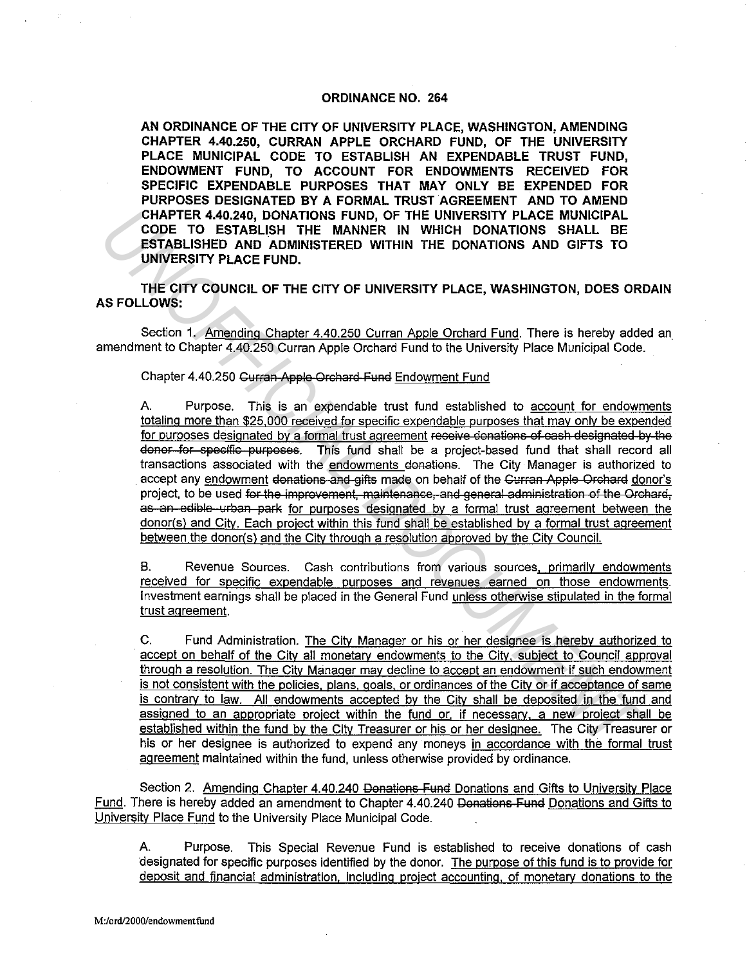## **ORDINANCE NO. 264**

AN ORDINANCE OF THE CITY OF UNIVERSITY PLACE, WASHINGTON, AMENDING CHAPTER 4.40.250, CURRAN APPLE ORCHARD FUND, OF THE UNIVERSITY PLACE MUNICIPAL CODE TO ESTABLISH AN EXPENDABLE TRUST FUND. ENDOWMENT FUND. TO ACCOUNT FOR ENDOWMENTS RECEIVED FOR SPECIFIC EXPENDABLE PURPOSES THAT MAY ONLY BE EXPENDED FOR PURPOSES DESIGNATED BY A FORMAL TRUST AGREEMENT AND TO AMEND CHAPTER 4.40.240. DONATIONS FUND. OF THE UNIVERSITY PLACE MUNICIPAL CODE TO ESTABLISH THE MANNER IN WHICH DONATIONS SHALL BE ESTABLISHED AND ADMINISTERED WITHIN THE DONATIONS AND GIFTS TO UNIVERSITY PLACE FUND.

THE CITY COUNCIL OF THE CITY OF UNIVERSITY PLACE, WASHINGTON, DOES ORDAIN **AS FOLLOWS:** 

Section 1. Amending Chapter 4.40.250 Curran Apple Orchard Fund. There is hereby added an amendment to Chapter 4.40.250 Curran Apple Orchard Fund to the University Place Municipal Code.

## Chapter 4.40.250 Gurran Apple Orchard Fund Endowment Fund

A. Purpose. This is an expendable trust fund established to account for endowments totaling more than \$25,000 received for specific expendable purposes that may only be expended for purposes designated by a formal trust agreement receive donations of eash designated by the donor for specific purposes. This fund shall be a project-based fund that shall record all transactions associated with the endowments donations. The City Manager is authorized to accept any endowment donations and gifts made on behalf of the Curran Apple Orchard donor's project, to be used for the improvement, maintenance, and general administration of the Orchard. as an edible urban park for purposes designated by a formal trust agreement between the donor(s) and City. Each project within this fund shall be established by a formal trust agreement between the donor(s) and the City through a resolution approved by the City Council.

Revenue Sources. Cash contributions from various sources, primarily endowments **B.** received for specific expendable purposes and revenues earned on those endowments. Investment earnings shall be placed in the General Fund unless otherwise stipulated in the formal trust agreement.

 $C_{n}$ Fund Administration. The City Manager or his or her designee is hereby authorized to accept on behalf of the City all monetary endowments to the City, subject to Council approval through a resolution. The City Manager may decline to accept an endowment if such endowment is not consistent with the policies, plans, goals, or ordinances of the City or if acceptance of same is contrary to law. All endowments accepted by the City shall be deposited in the fund and assigned to an appropriate project within the fund or, if necessary, a new project shall be established within the fund by the City Treasurer or his or her designee. The City Treasurer or his or her designee is authorized to expend any moneys in accordance with the formal trust agreement maintained within the fund, unless otherwise provided by ordinance.

Section 2. Amending Chapter 4.40.240 Donations Fund Donations and Gifts to University Place Fund. There is hereby added an amendment to Chapter 4.40.240 Donations Fund Donations and Gifts to University Place Fund to the University Place Municipal Code.

Purpose. This Special Revenue Fund is established to receive donations of cash А. designated for specific purposes identified by the donor. The purpose of this fund is to provide for deposit and financial administration, including project accounting, of monetary donations to the